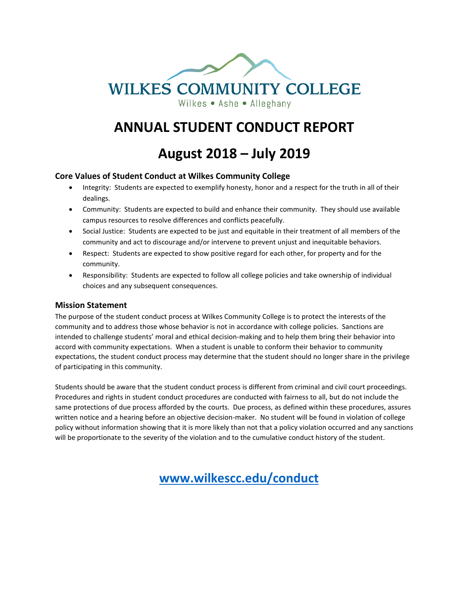

# **ANNUAL STUDENT CONDUCT REPORT**

**August 2018 – July 2019**

#### **Core Values of Student Conduct at Wilkes Community College**

- Integrity: Students are expected to exemplify honesty, honor and a respect for the truth in all of their dealings.
- Community: Students are expected to build and enhance their community. They should use available campus resources to resolve differences and conflicts peacefully.
- Social Justice: Students are expected to be just and equitable in their treatment of all members of the community and act to discourage and/or intervene to prevent unjust and inequitable behaviors.
- Respect: Students are expected to show positive regard for each other, for property and for the community.
- Responsibility: Students are expected to follow all college policies and take ownership of individual choices and any subsequent consequences.

#### **Mission Statement**

The purpose of the student conduct process at Wilkes Community College is to protect the interests of the community and to address those whose behavior is not in accordance with college policies. Sanctions are intended to challenge students' moral and ethical decision-making and to help them bring their behavior into accord with community expectations. When a student is unable to conform their behavior to community expectations, the student conduct process may determine that the student should no longer share in the privilege of participating in this community.

Students should be aware that the student conduct process is different from criminal and civil court proceedings. Procedures and rights in student conduct procedures are conducted with fairness to all, but do not include the same protections of due process afforded by the courts. Due process, as defined within these procedures, assures written notice and a hearing before an objective decision-maker. No student will be found in violation of college policy without information showing that it is more likely than not that a policy violation occurred and any sanctions will be proportionate to the severity of the violation and to the cumulative conduct history of the student.

 **[www.wilkescc.edu/conduct](http://www.wilkescc.edu/conduct)**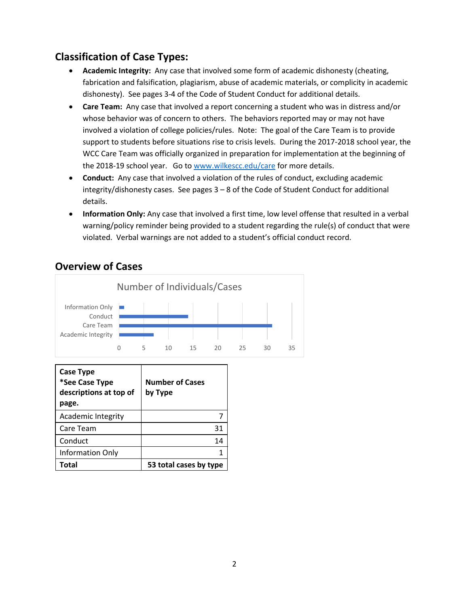#### **Classification of Case Types:**

- **Academic Integrity:** Any case that involved some form of academic dishonesty (cheating, fabrication and falsification, plagiarism, abuse of academic materials, or complicity in academic dishonesty). See pages 3-4 of the Code of Student Conduct for additional details.
- **Care Team:** Any case that involved a report concerning a student who was in distress and/or whose behavior was of concern to others. The behaviors reported may or may not have involved a violation of college policies/rules. Note: The goal of the Care Team is to provide support to students before situations rise to crisis levels. During the 2017-2018 school year, the WCC Care Team was officially organized in preparation for implementation at the beginning of the 2018-19 school year. Go to [www.wilkescc.edu/care](http://www.wilkescc.edu/care) for more details.
- **Conduct:** Any case that involved a violation of the rules of conduct, excluding academic integrity/dishonesty cases. See pages 3 – 8 of the Code of Student Conduct for additional details.
- **Information Only:** Any case that involved a first time, low level offense that resulted in a verbal warning/policy reminder being provided to a student regarding the rule(s) of conduct that were violated. Verbal warnings are not added to a student's official conduct record.



#### **Overview of Cases**

| <b>Case Type</b><br>*See Case Type<br>descriptions at top of<br>page. | <b>Number of Cases</b><br>by Type |
|-----------------------------------------------------------------------|-----------------------------------|
| <b>Academic Integrity</b>                                             |                                   |
| Care Team                                                             | 31                                |
| Conduct                                                               | 14                                |
| Information Only                                                      |                                   |
| <b>Fotal</b>                                                          | 53 total cases by type            |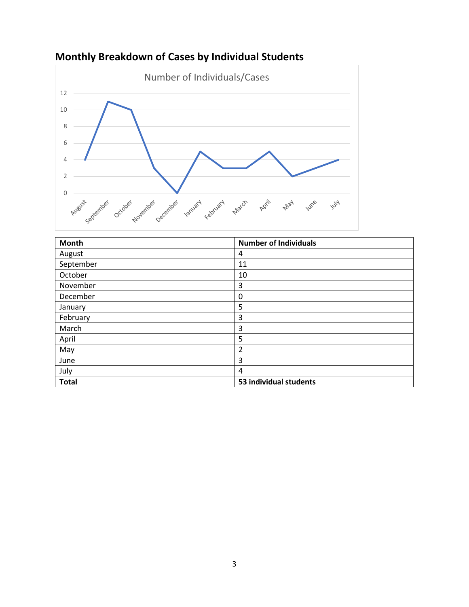

## **Monthly Breakdown of Cases by Individual Students**

| <b>Month</b> | <b>Number of Individuals</b> |
|--------------|------------------------------|
| August       | 4                            |
| September    | 11                           |
| October      | 10                           |
| November     | 3                            |
| December     | 0                            |
| January      | 5                            |
| February     | 3                            |
| March        | 3                            |
| April        | 5                            |
| May          | $\overline{2}$               |
| June         | 3                            |
| July         | 4                            |
| <b>Total</b> | 53 individual students       |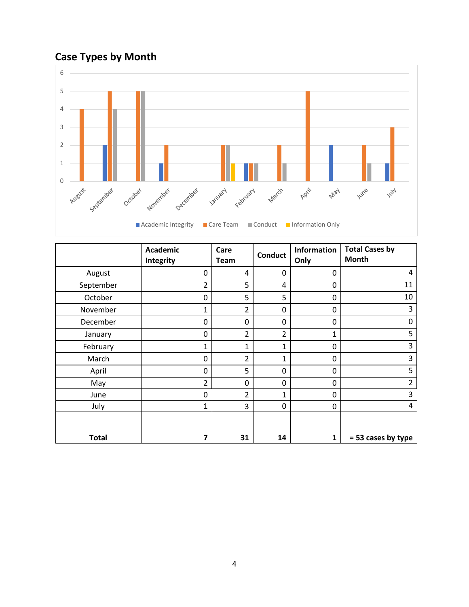# **Case Types by Month**



|              | <b>Academic</b><br>Integrity | Care<br>Team   | <b>Conduct</b> | Information<br>Only | <b>Total Cases by</b><br>Month |
|--------------|------------------------------|----------------|----------------|---------------------|--------------------------------|
| August       | 0                            | 4              | 0              | 0                   | 4                              |
| September    | 2                            | 5              | 4              | 0                   | 11                             |
| October      | 0                            | 5              | 5              | 0                   | 10                             |
| November     | 1                            | $\overline{2}$ | 0              | $\mathbf 0$         | 3                              |
| December     | 0                            | 0              | 0              | 0                   | 0                              |
| January      | 0                            | $\overline{2}$ | $\overline{2}$ | $\mathbf{1}$        | 5                              |
| February     | $\mathbf{1}$                 | $\mathbf{1}$   | $\mathbf{1}$   | 0                   | 3                              |
| March        | 0                            | $\overline{2}$ | $\mathbf{1}$   | 0                   | 3                              |
| April        | 0                            | 5              | 0              | 0                   | 5                              |
| May          | $\overline{2}$               | $\mathbf 0$    | 0              | 0                   | 2                              |
| June         | 0                            | $\overline{2}$ | $\mathbf{1}$   | 0                   | 3                              |
| July         | $\mathbf{1}$                 | 3              | 0              | 0                   | 4                              |
| <b>Total</b> | 7                            | 31             | 14             | 1                   | = 53 cases by type             |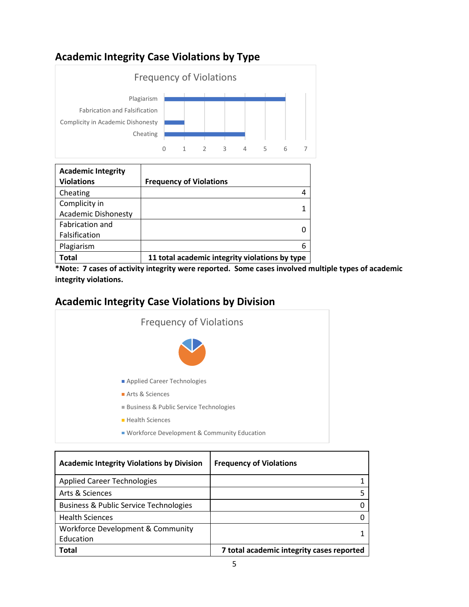### **Academic Integrity Case Violations by Type**



| <b>Academic Integrity</b>  |                                                |
|----------------------------|------------------------------------------------|
| <b>Violations</b>          | <b>Frequency of Violations</b>                 |
| Cheating                   |                                                |
| Complicity in              |                                                |
| <b>Academic Dishonesty</b> |                                                |
| Fabrication and            |                                                |
| Falsification              |                                                |
| Plagiarism                 | 6                                              |
| Total                      | 11 total academic integrity violations by type |

**\*Note: 7 cases of activity integrity were reported. Some cases involved multiple types of academic integrity violations.** 

### **Academic Integrity Case Violations by Division**



| <b>Academic Integrity Violations by Division</b>  | <b>Frequency of Violations</b>            |
|---------------------------------------------------|-------------------------------------------|
| <b>Applied Career Technologies</b>                |                                           |
| Arts & Sciences                                   |                                           |
| <b>Business &amp; Public Service Technologies</b> |                                           |
| <b>Health Sciences</b>                            |                                           |
| Workforce Development & Community                 |                                           |
| Education                                         |                                           |
| Total                                             | 7 total academic integrity cases reported |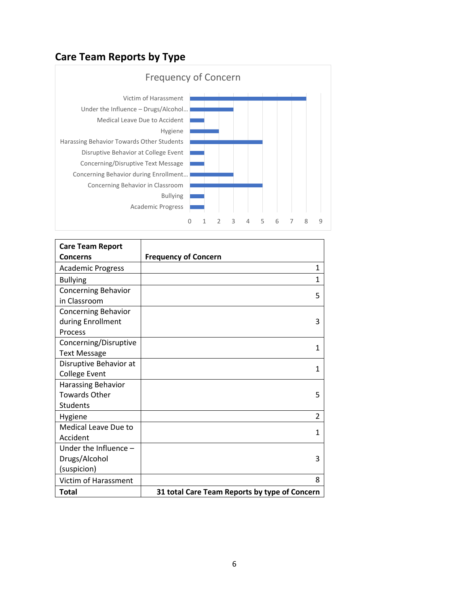# **Care Team Reports by Type**



| <b>Care Team Report</b>     |                                               |
|-----------------------------|-----------------------------------------------|
| <b>Concerns</b>             | <b>Frequency of Concern</b>                   |
| <b>Academic Progress</b>    | 1                                             |
| <b>Bullying</b>             | 1                                             |
| <b>Concerning Behavior</b>  | 5                                             |
| in Classroom                |                                               |
| <b>Concerning Behavior</b>  |                                               |
| during Enrollment           | 3                                             |
| <b>Process</b>              |                                               |
| Concerning/Disruptive       | 1                                             |
| <b>Text Message</b>         |                                               |
| Disruptive Behavior at      | 1                                             |
| <b>College Event</b>        |                                               |
| Harassing Behavior          |                                               |
| <b>Towards Other</b>        | 5                                             |
| Students                    |                                               |
| Hygiene                     | $\overline{2}$                                |
| <b>Medical Leave Due to</b> | 1                                             |
| Accident                    |                                               |
| Under the Influence -       |                                               |
| Drugs/Alcohol               | 3                                             |
| (suspicion)                 |                                               |
| Victim of Harassment        | 8                                             |
| Total                       | 31 total Care Team Reports by type of Concern |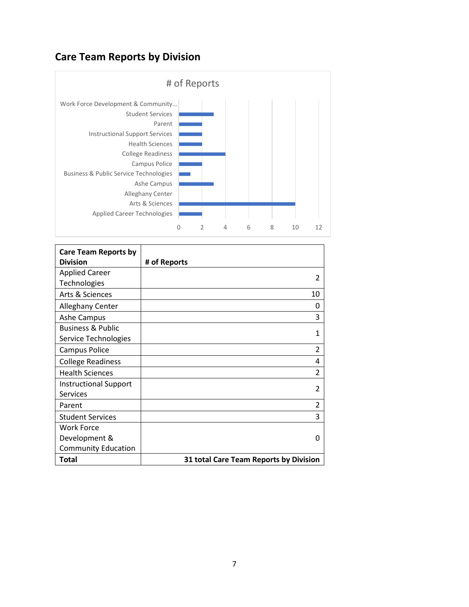### **Care Team Reports by Division**



| <b>Care Team Reports by</b><br><b>Division</b> | # of Reports                           |
|------------------------------------------------|----------------------------------------|
| <b>Applied Career</b>                          |                                        |
| Technologies                                   | $\mathfrak z$                          |
| Arts & Sciences                                | 10                                     |
| <b>Alleghany Center</b>                        | Ω                                      |
| <b>Ashe Campus</b>                             | 3                                      |
| <b>Business &amp; Public</b>                   | 1                                      |
| Service Technologies                           |                                        |
| Campus Police                                  | 2                                      |
| <b>College Readiness</b>                       | 4                                      |
| <b>Health Sciences</b>                         | $\mathfrak{p}$                         |
| <b>Instructional Support</b>                   | $\mathfrak z$                          |
| <b>Services</b>                                |                                        |
| Parent                                         | 2                                      |
| <b>Student Services</b>                        | 3                                      |
| <b>Work Force</b>                              |                                        |
| Development &                                  | ŋ                                      |
| <b>Community Education</b>                     |                                        |
| Total                                          | 31 total Care Team Reports by Division |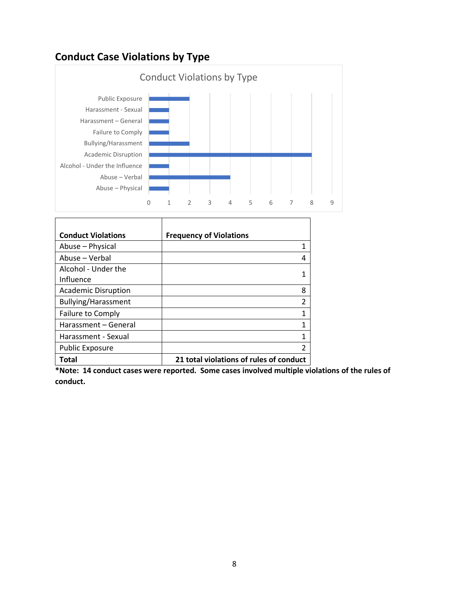## **Conduct Case Violations by Type**



| <b>Conduct Violations</b>        | <b>Frequency of Violations</b>          |
|----------------------------------|-----------------------------------------|
| Abuse - Physical                 | 1                                       |
| Abuse - Verbal                   | 4                                       |
| Alcohol - Under the<br>Influence |                                         |
| <b>Academic Disruption</b>       | 8                                       |
| <b>Bullying/Harassment</b>       | $\overline{2}$                          |
| Failure to Comply                | 1                                       |
| Harassment - General             | 1                                       |
| Harassment - Sexual              | 1                                       |
| <b>Public Exposure</b>           | $\mathcal{P}$                           |
| Total                            | 21 total violations of rules of conduct |

**\*Note: 14 conduct cases were reported. Some cases involved multiple violations of the rules of conduct.** 

٦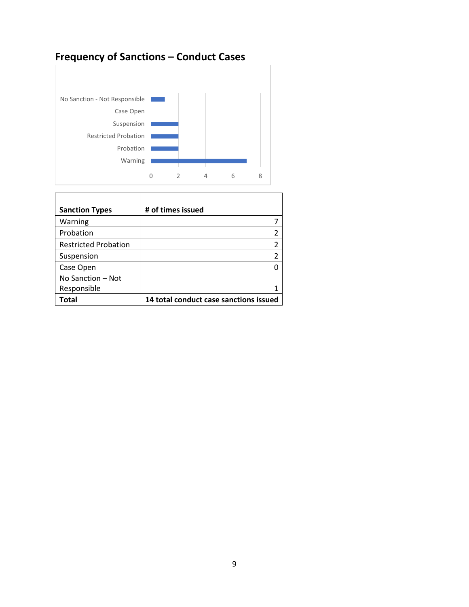# **Frequency of Sanctions – Conduct Cases**



T

 $\mathsf{r}$ 

| <b>Sanction Types</b>       | # of times issued                      |
|-----------------------------|----------------------------------------|
| Warning                     |                                        |
| Probation                   |                                        |
| <b>Restricted Probation</b> |                                        |
| Suspension                  |                                        |
| Case Open                   |                                        |
| No Sanction - Not           |                                        |
| Responsible                 |                                        |
| Total                       | 14 total conduct case sanctions issued |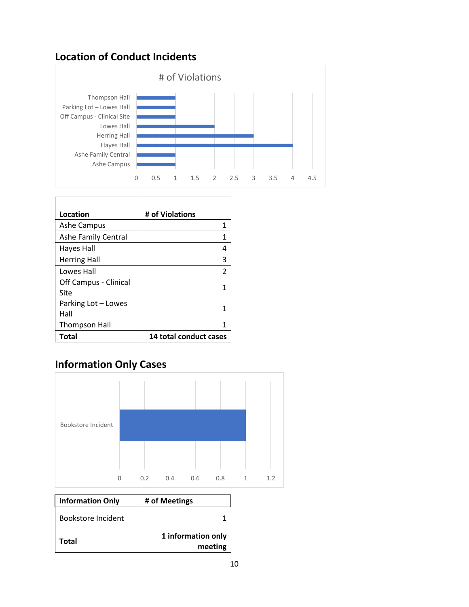#### **Location of Conduct Incidents**



| Location                   | # of Violations        |
|----------------------------|------------------------|
|                            |                        |
| <b>Ashe Campus</b>         | 1                      |
| <b>Ashe Family Central</b> | 1                      |
| <b>Hayes Hall</b>          | 4                      |
| <b>Herring Hall</b>        | 3                      |
| Lowes Hall                 | $\mathcal{P}$          |
| Off Campus - Clinical      |                        |
| Site                       | 1                      |
| Parking Lot - Lowes        |                        |
| Hall                       |                        |
| <b>Thompson Hall</b>       | 1                      |
| Total                      | 14 total conduct cases |

## **Information Only Cases**



| <b>Information Only</b> | # of Meetings                 |
|-------------------------|-------------------------------|
| Bookstore Incident      |                               |
| Total                   | 1 information only<br>meeting |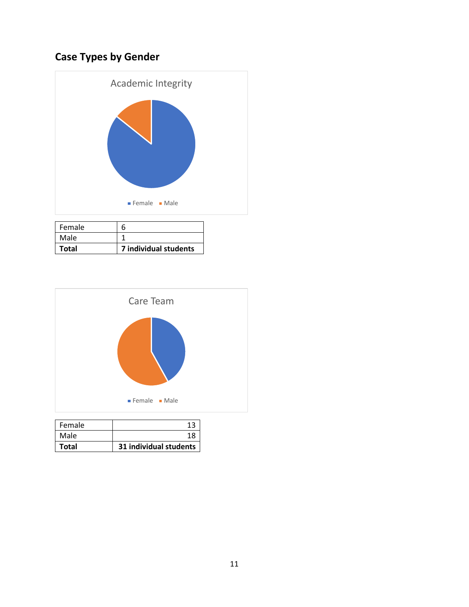# **Case Types by Gender**



| Female       | n                     |
|--------------|-----------------------|
| Male         |                       |
| <b>Total</b> | 7 individual students |



| Female |                        |
|--------|------------------------|
| Male   | 18                     |
| Total  | 31 individual students |